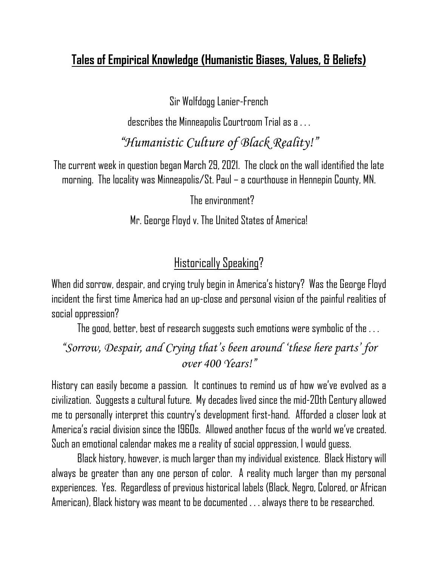## **Tales of Empirical Knowledge (Humanistic Biases, Values, & Beliefs)**

Sir Wolfdogg Lanier-French

describes the Minneapolis Courtroom Trial as a . . .

*"Humanistic Culture of Black Reality!"*

The current week in question began March 29, 2021. The clock on the wall identified the late morning. The locality was Minneapolis/St. Paul – a courthouse in Hennepin County, MN.

The environment?

Mr. George Floyd v. The United States of America!

## Historically Speaking?

When did sorrow, despair, and crying truly begin in America's history? Was the George Floyd incident the first time America had an up-close and personal vision of the painful realities of social oppression?

The good, better, best of research suggests such emotions were symbolic of the . . .

*"Sorrow, Despair, and Crying that's been around 'these here parts' for over 400 Years!"*

History can easily become a passion. It continues to remind us of how we've evolved as a civilization. Suggests a cultural future. My decades livedsince the mid-20th Centuryallowed me to personally interpret this country's development first-hand. Afforded a closer look at America's racial division since the 1960s. Allowed another focus of the world we've created. Such an emotional calendar makes me a reality of social oppression, I would guess.

Black history, however, is much larger than my individual existence. Black History will always be greater than any one person of color. A reality much larger than my personal experiences. Yes. Regardless of previous historical labels (Black, Negro, Colored, or African American), Black history was meant tobe documented . . . always there to be researched.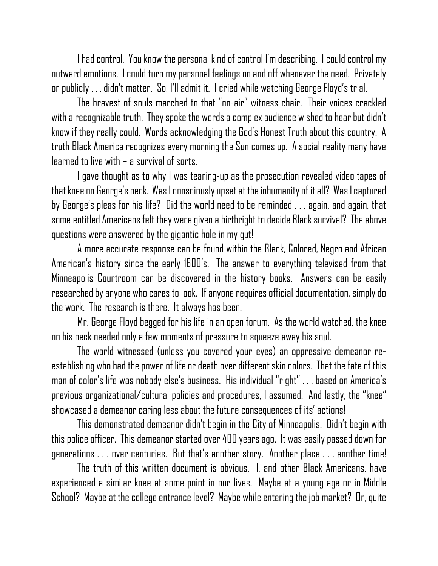I had control. You know the personal kind of control I'm describing. I could control my outward emotions. Icould turn my personal feelings on and off whenever the need. Privately or publicly . . . didn't matter. So, I'll admit it. I cried while watching George Floyd's trial.

The bravest of souls marched to that "on-air" witness chair. Their voices crackled with a recognizable truth. They spoke the words a complex audience wished to hear but didn't know if they really could. Words acknowledging the God's Honest Truth about this country. A truth Black America recognizes every morning the Sun comes up. A social reality many have  $learned$  to live with – a survival of sorts.

I gave thought as to why I was tearing-up as the prosecution revealed video tapes of that knee on George's neck. Was I consciously upsetat the inhumanity of it all? Was I captured by George's pleas for his life? Did the world need to be reminded . . . again, and again, that some entitled Americans felt they were given a birthright to decide Black survival? The above questions were answered by the gigantic hole in my gut!

A more accurate response can be found within the Black, Colored, Negro and African American's history since the early 1600's. The answer to everything televised from that Minneapolis Courtroom can be discovered in the history books. Answers can be easily researched by anyone who cares to look. If anyone requires official documentation, simply do the work. The research is there. It always has been.

Mr. George Floyd begged for his life in an open forum. As the world watched, the knee on his neck needed only a few moments of pressure to squeeze away his soul.

The world witnessed (unless you covered your eyes) an oppressive demeanor reestablishing who had the power of life or death over different skin colors. That the fate of this man of color's life was nobody else's business. His individual "right" . . . based on America's previous organizational/cultural policies and procedures, I assumed. And lastly, the "knee" showcased a demeanor caring less about the future consequences of its' actions!

This demonstrated demeanor didn't begin in the City of Minneapolis. Didn't begin with this police officer. This demeanor started over 400 years ago. It waseasilypassed down for generations . . . over centuries. But that's another story. Another place . . . another time!

The truth of this written document is obvious. I, and other Black Americans, have experienced a similar knee at some point in our lives. Maybe at a young age or in Middle School? Maybe at the college entrance level? Maybe while entering the job market? Or, quite